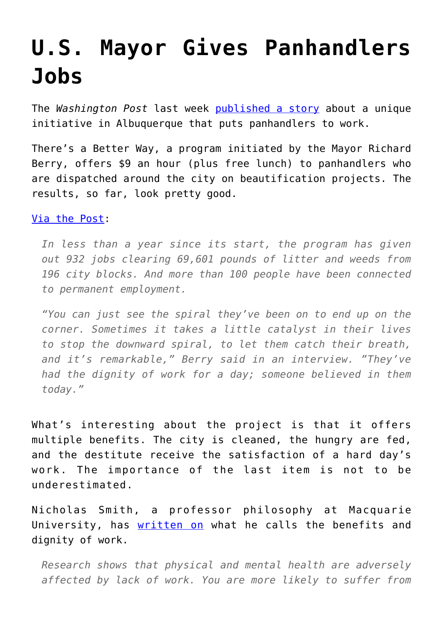## **[U.S. Mayor Gives Panhandlers](https://intellectualtakeout.org/2016/08/u-s-mayor-gives-panhandlers-jobs/) [Jobs](https://intellectualtakeout.org/2016/08/u-s-mayor-gives-panhandlers-jobs/)**

The *Washington Post* last week [published a story](https://www.washingtonpost.com/news/inspired-life/wp/2016/08/11/this-republican-mayor-has-an-incredibly-simple-idea-to-help-the-homeless-and-it-seems-to-be-working/) about a unique initiative in Albuquerque that puts panhandlers to work.

There's a Better Way, a program initiated by the Mayor Richard Berry, offers \$9 an hour (plus free lunch) to panhandlers who are dispatched around the city on beautification projects. The results, so far, look pretty good.

## [Via the Post](http://www.washingtonpost.com/news/inspired-life/wp/2016/08/11/this-republican-mayor-has-an-incredibly-simple-idea-to-help-the-homeless-and-it-seems-to-be-working/):

*In less than a year since its start, the program has given out 932 jobs clearing 69,601 pounds of litter and weeds from 196 city blocks. And more than 100 people have been connected to permanent employment.*

*"You can just see the spiral they've been on to end up on the corner. Sometimes it takes a little catalyst in their lives to stop the downward spiral, to let them catch their breath, and it's remarkable," Berry said in an interview. "They've had the dignity of work for a day; someone believed in them today."*

What's interesting about the project is that it offers multiple benefits. The city is cleaned, the hungry are fed, and the destitute receive the satisfaction of a hard day's work. The importance of the last item is not to be underestimated.

Nicholas Smith, a professor philosophy at Macquarie University, has [written on](https://theconversation.com/a-philosophers-view-the-benefits-and-dignity-of-work-829) what he calls the benefits and dignity of work.

*Research shows that physical and mental health are adversely affected by lack of work. You are more likely to suffer from*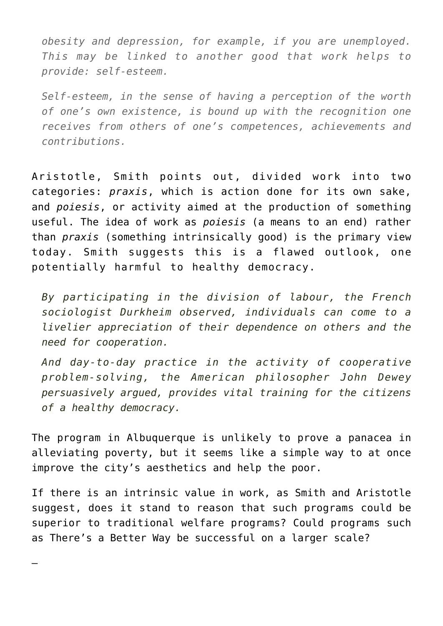*obesity and depression, for example, if you are unemployed. This may be linked to another good that work helps to provide: self-esteem.*

*Self-esteem, in the sense of having a perception of the worth of one's own existence, is bound up with the recognition one receives from others of one's competences, achievements and contributions.* 

Aristotle, Smith points out, divided work into two categories: *praxis*, which is action done for its own sake, and *poiesis*, or activity aimed at the production of something useful. The idea of work as *poiesis* (a means to an end) rather than *praxis* (something intrinsically good) is the primary view today. Smith suggests this is a flawed outlook, one potentially harmful to healthy democracy.

*By participating in the division of labour, the French sociologist Durkheim observed, individuals can come to a livelier appreciation of their dependence on others and the need for cooperation.*

*And day-to-day practice in the activity of cooperative problem-solving, the American philosopher John Dewey persuasively argued, provides vital training for the citizens of a healthy democracy.*

The program in Albuquerque is unlikely to prove a panacea in alleviating poverty, but it seems like a simple way to at once improve the city's aesthetics and help the poor.

If there is an intrinsic value in work, as Smith and Aristotle suggest, does it stand to reason that such programs could be superior to traditional welfare programs? Could programs such as There's a Better Way be successful on a larger scale?

—